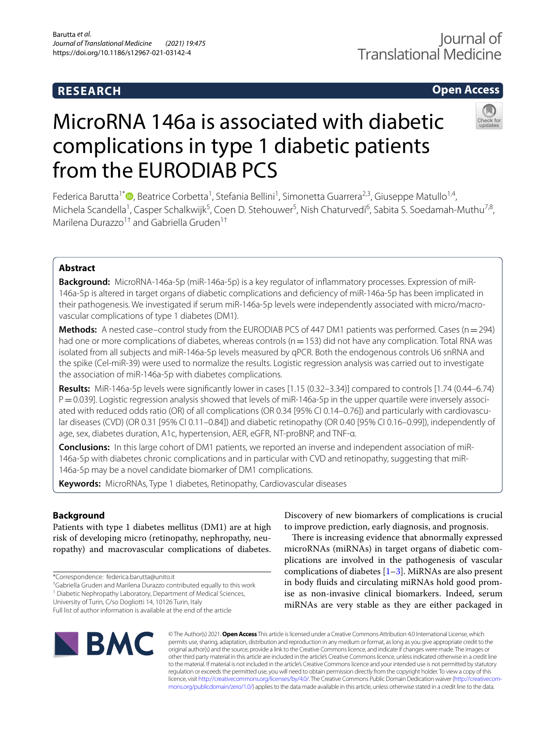## **RESEARCH**

## **Open Access**

# MicroRNA 146a is associated with diabetic complications in type 1 diabetic patients from the EURODIAB PCS



Federica Barutta<sup>1\*</sup>®[,](http://orcid.org/0000-0001-9319-5123) Beatrice Corbetta<sup>1</sup>, Stefania Bellini<sup>1</sup>, Simonetta Guarrera<sup>2,3</sup>, Giuseppe Matullo<sup>1,4</sup>, Michela Scandella<sup>1</sup>, Casper Schalkwijk<sup>5</sup>, Coen D. Stehouwer<sup>5</sup>, Nish Chaturvedi<sup>6</sup>, Sabita S. Soedamah-Muthu<sup>7,8</sup>, Marilena Durazzo<sup>1†</sup> and Gabriella Gruden<sup>1†</sup>

## **Abstract**

**Background:** MicroRNA-146a-5p (miR-146a-5p) is a key regulator of infammatory processes. Expression of miR-146a-5p is altered in target organs of diabetic complications and defciency of miR-146a-5p has been implicated in their pathogenesis. We investigated if serum miR-146a-5p levels were independently associated with micro/macro‑ vascular complications of type 1 diabetes (DM1).

**Methods:** A nested case–control study from the EURODIAB PCS of 447 DM1 patients was performed. Cases (n = 294) had one or more complications of diabetes, whereas controls ( $n=153$ ) did not have any complication. Total RNA was isolated from all subjects and miR-146a-5p levels measured by qPCR. Both the endogenous controls U6 snRNA and the spike (Cel-miR-39) were used to normalize the results. Logistic regression analysis was carried out to investigate the association of miR-146a-5p with diabetes complications.

**Results:** MiR-146a-5p levels were signifcantly lower in cases [1.15 (0.32–3.34)] compared to controls [1.74 (0.44–6.74)  $P=0.039$ ]. Logistic regression analysis showed that levels of miR-146a-5p in the upper quartile were inversely associated with reduced odds ratio (OR) of all complications (OR 0.34 [95% CI 0.14–0.76]) and particularly with cardiovascular diseases (CVD) (OR 0.31 [95% CI 0.11–0.84]) and diabetic retinopathy (OR 0.40 [95% CI 0.16–0.99]), independently of age, sex, diabetes duration, A1c, hypertension, AER, eGFR, NT-proBNP, and TNF-α.

**Conclusions:** In this large cohort of DM1 patients, we reported an inverse and independent association of miR-146a-5p with diabetes chronic complications and in particular with CVD and retinopathy, suggesting that miR-146a-5p may be a novel candidate biomarker of DM1 complications.

**Keywords:** MicroRNAs, Type 1 diabetes, Retinopathy, Cardiovascular diseases

## **Background**

Patients with type 1 diabetes mellitus (DM1) are at high risk of developing micro (retinopathy, nephropathy, neuropathy) and macrovascular complications of diabetes.

\*Correspondence: federica.barutta@unito.it

† Gabriella Gruden and Marilena Durazzo contributed equally to this work

<sup>1</sup> Diabetic Nephropathy Laboratory, Department of Medical Sciences,

University of Turin, C/so Dogliotti 14, 10126 Turin, Italy Full list of author information is available at the end of the article

microRNAs (miRNAs) in target organs of diabetic complications are involved in the pathogenesis of vascular

complications of diabetes [\[1](#page-7-0)[–3](#page-7-1)]. MiRNAs are also present in body fuids and circulating miRNAs hold good promise as non-invasive clinical biomarkers. Indeed, serum miRNAs are very stable as they are either packaged in

Discovery of new biomarkers of complications is crucial to improve prediction, early diagnosis, and prognosis. There is increasing evidence that abnormally expressed



© The Author(s) 2021. **Open Access** This article is licensed under a Creative Commons Attribution 4.0 International License, which permits use, sharing, adaptation, distribution and reproduction in any medium or format, as long as you give appropriate credit to the original author(s) and the source, provide a link to the Creative Commons licence, and indicate if changes were made. The images or other third party material in this article are included in the article's Creative Commons licence, unless indicated otherwise in a credit line to the material. If material is not included in the article's Creative Commons licence and your intended use is not permitted by statutory regulation or exceeds the permitted use, you will need to obtain permission directly from the copyright holder. To view a copy of this licence, visit [http://creativecommons.org/licenses/by/4.0/.](http://creativecommons.org/licenses/by/4.0/) The Creative Commons Public Domain Dedication waiver (http://creativecom[mons.org/publicdomain/zero/1.0/\)](http://creativecommons.org/publicdomain/zero/1.0/) applies to the data made available in this article, unless otherwise stated in a credit line to the data.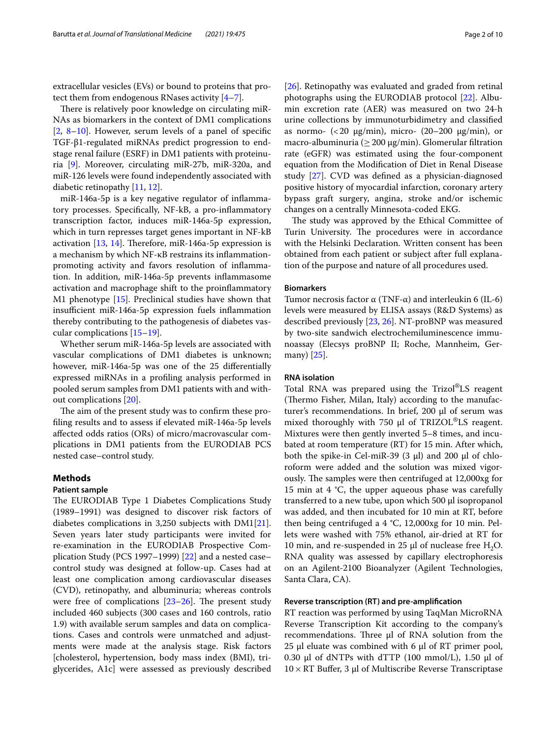extracellular vesicles (EVs) or bound to proteins that protect them from endogenous RNases activity [\[4](#page-7-2)[–7\]](#page-7-3).

There is relatively poor knowledge on circulating miR-NAs as biomarkers in the context of DM1 complications [[2,](#page-7-4) [8](#page-7-5)[–10\]](#page-7-6). However, serum levels of a panel of specifc TGF-β1-regulated miRNAs predict progression to endstage renal failure (ESRF) in DM1 patients with proteinuria [[9\]](#page-7-7). Moreover, circulating miR-27b, miR-320a, and miR-126 levels were found independently associated with diabetic retinopathy [\[11](#page-7-8), [12\]](#page-8-0).

miR-146a-5p is a key negative regulator of infammatory processes. Specifcally, NF-kB, a pro-infammatory transcription factor, induces miR-146a-5p expression, which in turn represses target genes important in NF-kB activation  $[13, 14]$  $[13, 14]$  $[13, 14]$  $[13, 14]$ . Therefore, miR-146a-5p expression is a mechanism by which NF-κB restrains its infammationpromoting activity and favors resolution of infammation. In addition, miR-146a-5p prevents infammasome activation and macrophage shift to the proinfammatory M1 phenotype [\[15](#page-8-3)]. Preclinical studies have shown that insufficient miR-146a-5p expression fuels inflammation thereby contributing to the pathogenesis of diabetes vascular complications [\[15](#page-8-3)[–19](#page-8-4)].

Whether serum miR-146a-5p levels are associated with vascular complications of DM1 diabetes is unknown; however, miR-146a-5p was one of the 25 diferentially expressed miRNAs in a profling analysis performed in pooled serum samples from DM1 patients with and without complications [\[20](#page-8-5)].

The aim of the present study was to confirm these profling results and to assess if elevated miR-146a-5p levels afected odds ratios (ORs) of micro/macrovascular complications in DM1 patients from the EURODIAB PCS nested case–control study.

## **Methods**

## **Patient sample**

The EURODIAB Type 1 Diabetes Complications Study (1989–1991) was designed to discover risk factors of diabetes complications in 3,250 subjects with DM1[\[21](#page-8-6)]. Seven years later study participants were invited for re-examination in the EURODIAB Prospective Complication Study (PCS 1997–1999) [[22\]](#page-8-7) and a nested case– control study was designed at follow-up. Cases had at least one complication among cardiovascular diseases (CVD), retinopathy, and albuminuria; whereas controls were free of complications  $[23–26]$  $[23–26]$ . The present study included 460 subjects (300 cases and 160 controls, ratio 1.9) with available serum samples and data on complications. Cases and controls were unmatched and adjustments were made at the analysis stage. Risk factors [cholesterol, hypertension, body mass index (BMI), triglycerides, A1c] were assessed as previously described [[26\]](#page-8-9). Retinopathy was evaluated and graded from retinal photographs using the EURODIAB protocol [\[22](#page-8-7)]. Albumin excretion rate (AER) was measured on two 24-h urine collections by immunoturbidimetry and classifed as normo-  $\left($ <20 μg/min), micro-  $\left(20-200 \right)$  μg/min), or macro-albuminuria ( $\geq 200 \mu g/min$ ). Glomerular filtration rate (eGFR) was estimated using the four-component equation from the Modifcation of Diet in Renal Disease study [\[27](#page-8-10)]. CVD was defned as a physician-diagnosed positive history of myocardial infarction, coronary artery bypass graft surgery, angina, stroke and/or ischemic changes on a centrally Minnesota-coded EKG.

The study was approved by the Ethical Committee of Turin University. The procedures were in accordance with the Helsinki Declaration. Written consent has been obtained from each patient or subject after full explanation of the purpose and nature of all procedures used.

## **Biomarkers**

Tumor necrosis factor  $\alpha$  (TNF- $\alpha$ ) and interleukin 6 (IL-6) levels were measured by ELISA assays (R&D Systems) as described previously [[23,](#page-8-8) [26](#page-8-9)]. NT-proBNP was measured by two-site sandwich electrochemiluminescence immunoassay (Elecsys proBNP II; Roche, Mannheim, Germany) [[25\]](#page-8-11).

## **RNA isolation**

Total RNA was prepared using the Trizol®LS reagent (Thermo Fisher, Milan, Italy) according to the manufacturer's recommendations. In brief, 200 µl of serum was mixed thoroughly with 750  $\mu$ l of TRIZOL<sup>®</sup>LS reagent. Mixtures were then gently inverted 5–8 times, and incubated at room temperature (RT) for 15 min. After which, both the spike-in Cel-miR-39 (3  $\mu$ l) and 200  $\mu$ l of chloroform were added and the solution was mixed vigorously. The samples were then centrifuged at 12,000xg for 15 min at 4  $\degree$ C, the upper aqueous phase was carefully transferred to a new tube, upon which 500 µl isopropanol was added, and then incubated for 10 min at RT, before then being centrifuged a 4 °C, 12,000xg for 10 min. Pellets were washed with 75% ethanol, air-dried at RT for 10 min, and re-suspended in 25 μl of nuclease free  $H_2O$ . RNA quality was assessed by capillary electrophoresis on an Agilent-2100 Bioanalyzer (Agilent Technologies, Santa Clara, CA).

## **Reverse transcription (RT) and pre‑amplifcation**

RT reaction was performed by using TaqMan MicroRNA Reverse Transcription Kit according to the company's recommendations. Three  $\mu$ l of RNA solution from the 25 µl eluate was combined with 6 µl of RT primer pool, 0.30  $\mu$ l of dNTPs with dTTP (100 mmol/L), 1.50  $\mu$ l of  $10 \times RT$  Buffer, 3 µl of Multiscribe Reverse Transcriptase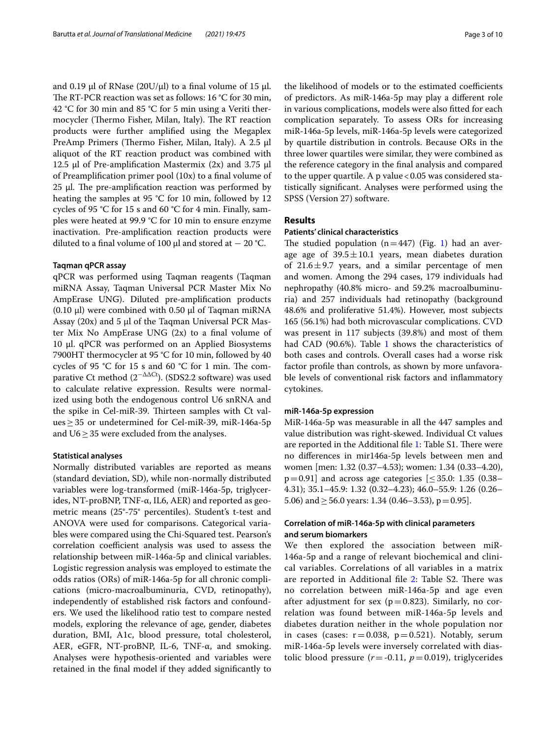and 0.19 µl of RNase (20U/µl) to a final volume of 15 µl. The RT-PCR reaction was set as follows:  $16 °C$  for 30 min, 42 °C for 30 min and 85 °C for 5 min using a Veriti thermocycler (Thermo Fisher, Milan, Italy). The RT reaction products were further amplifed using the Megaplex PreAmp Primers (Thermo Fisher, Milan, Italy). A 2.5 µl aliquot of the RT reaction product was combined with 12.5  $\mu$ l of Pre-amplification Mastermix (2x) and 3.75  $\mu$ l of Preamplifcation primer pool (10x) to a fnal volume of 25 µl. The pre-amplification reaction was performed by heating the samples at 95 °C for 10 min, followed by 12 cycles of 95 °C for 15 s and 60 °C for 4 min. Finally, samples were heated at 99.9 °C for 10 min to ensure enzyme inactivation. Pre-amplifcation reaction products were diluted to a final volume of 100 µl and stored at  $-$  20 °C.

## **Taqman qPCR assay**

qPCR was performed using Taqman reagents (Taqman miRNA Assay, Taqman Universal PCR Master Mix No AmpErase UNG). Diluted pre-amplifcation products (0.10  $\mu$ l) were combined with 0.50  $\mu$ l of Taqman miRNA Assay  $(20x)$  and 5 µl of the Taqman Universal PCR Master Mix No AmpErase UNG (2x) to a fnal volume of 10  $\mu$ l. qPCR was performed on an Applied Biosystems 7900HT thermocycler at 95 °C for 10 min, followed by 40 cycles of 95 °C for 15 s and 60 °C for 1 min. The comparative Ct method ( $2^{-\Delta\Delta Ct}$ ). (SDS2.2 software) was used to calculate relative expression. Results were normalized using both the endogenous control U6 snRNA and the spike in Cel-miR-39. Thirteen samples with Ct values≥35 or undetermined for Cel-miR-39, miR-146a-5p and  $U6 \geq 35$  were excluded from the analyses.

## **Statistical analyses**

Normally distributed variables are reported as means (standard deviation, SD), while non-normally distributed variables were log-transformed (miR-146a-5p, triglycerides, NT-proBNP, TNF- $\alpha$ , IL6, AER) and reported as geometric means (25°-75° percentiles). Student's t-test and ANOVA were used for comparisons. Categorical variables were compared using the Chi-Squared test. Pearson's correlation coefficient analysis was used to assess the relationship between miR-146a-5p and clinical variables. Logistic regression analysis was employed to estimate the odds ratios (ORs) of miR-146a-5p for all chronic complications (micro-macroalbuminuria, CVD, retinopathy), independently of established risk factors and confounders. We used the likelihood ratio test to compare nested models, exploring the relevance of age, gender, diabetes duration, BMI, A1c, blood pressure, total cholesterol, AER, eGFR, NT-proBNP, IL-6, TNF-α, and smoking. Analyses were hypothesis-oriented and variables were retained in the fnal model if they added signifcantly to the likelihood of models or to the estimated coefficients of predictors. As miR-146a-5p may play a diferent role in various complications, models were also ftted for each complication separately. To assess ORs for increasing miR-146a-5p levels, miR-146a-5p levels were categorized by quartile distribution in controls. Because ORs in the three lower quartiles were similar, they were combined as the reference category in the fnal analysis and compared to the upper quartile. A p value  $< 0.05$  was considered statistically signifcant. Analyses were performed using the SPSS (Version 27) software.

## **Results**

## **Patients' clinical characteristics**

The studied population  $(n=447)$  (Fig. [1\)](#page-3-0) had an average age of  $39.5 \pm 10.1$  years, mean diabetes duration of  $21.6 \pm 9.7$  years, and a similar percentage of men and women. Among the 294 cases, 179 individuals had nephropathy (40.8% micro- and 59.2% macroalbuminuria) and 257 individuals had retinopathy (background 48.6% and proliferative 51.4%). However, most subjects 165 (56.1%) had both microvascular complications. CVD was present in 117 subjects (39.8%) and most of them had CAD (90.6%). Table [1](#page-3-1) shows the characteristics of both cases and controls. Overall cases had a worse risk factor profle than controls, as shown by more unfavorable levels of conventional risk factors and infammatory cytokines.

## **miR‑146a‑5p expression**

MiR-146a-5p was measurable in all the 447 samples and value distribution was right-skewed. Individual Ct values are reported in the Additional file [1](#page-7-9): Table S1. There were no diferences in mir146a-5p levels between men and women [men: 1.32 (0.37–4.53); women: 1.34 (0.33–4.20),  $p=0.91$ ] and across age categories [ $\leq$ 35.0: 1.35 (0.38– 4.31); 35.1–45.9: 1.32 (0.32–4.23); 46.0–55.9: 1.26 (0.26– 5.06) and  $\geq$  56.0 years: 1.34 (0.46–3.53), p = 0.95].

## **Correlation of miR‑146a‑5p with clinical parameters and serum biomarkers**

We then explored the association between miR-146a-5p and a range of relevant biochemical and clinical variables. Correlations of all variables in a matrix are reported in Additional file [2](#page-7-10): Table S2. There was no correlation between miR-146a-5p and age even after adjustment for sex ( $p=0.823$ ). Similarly, no correlation was found between miR-146a-5p levels and diabetes duration neither in the whole population nor in cases (cases:  $r=0.038$ ,  $p=0.521$ ). Notably, serum miR-146a-5p levels were inversely correlated with diastolic blood pressure  $(r = -0.11, p = 0.019)$ , triglycerides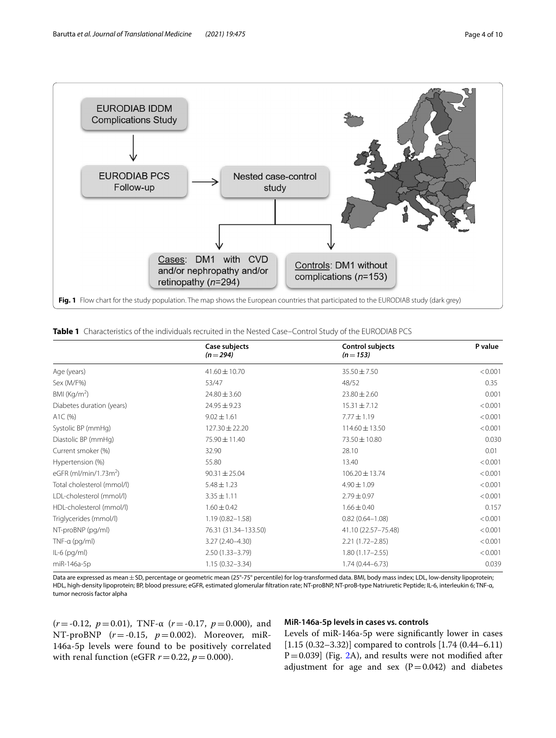

<span id="page-3-1"></span><span id="page-3-0"></span>

|                                   | Case subjects<br>$(n = 294)$ | <b>Control subjects</b><br>$(n=153)$ | P value |
|-----------------------------------|------------------------------|--------------------------------------|---------|
| Age (years)                       | $41.60 \pm 10.70$            | $35.50 \pm 7.50$                     | < 0.001 |
|                                   |                              |                                      |         |
| Sex (M/F%)                        | 53/47                        | 48/52                                | 0.35    |
| BMI (Kg/m <sup>2</sup> )          | $24.80 \pm 3.60$             | $23.80 \pm 2.60$                     | 0.001   |
| Diabetes duration (years)         | $24.95 \pm 9.23$             | $15.31 \pm 7.12$                     | < 0.001 |
| A1C (%)                           | $9.02 \pm 1.61$              | $7.77 \pm 1.19$                      | < 0.001 |
| Systolic BP (mmHg)                | $127.30 \pm 22.20$           | $114.60 \pm 13.50$                   | < 0.001 |
| Diastolic BP (mmHg)               | 75.90 ± 11.40                | 73.50 ± 10.80                        | 0.030   |
| Current smoker (%)                | 32.90                        | 28.10                                | 0.01    |
| Hypertension (%)                  | 55.80                        | 13.40                                | < 0.001 |
| eGFR (ml/min/1.73m <sup>2</sup> ) | $90.31 \pm 25.04$            | $106.20 \pm 13.74$                   | < 0.001 |
| Total cholesterol (mmol/l)        | $5.48 \pm 1.23$              | $4.90 \pm 1.09$                      | < 0.001 |
| LDL-cholesterol (mmol/l)          | $3.35 \pm 1.11$              | $2.79 \pm 0.97$                      | < 0.001 |
| HDL-cholesterol (mmol/l)          | $1.60 \pm 0.42$              | $1.66 \pm 0.40$                      | 0.157   |
| Triglycerides (mmol/l)            | $1.19(0.82 - 1.58)$          | $0.82(0.64 - 1.08)$                  | < 0.001 |
| NT-proBNP (pg/ml)                 | 76.31 (31.34-133.50)         | 41.10 (22.57-75.48)                  | < 0.001 |
| TNF- $\alpha$ (pg/ml)             | $3.27(2.40 - 4.30)$          | $2.21(1.72 - 2.85)$                  | < 0.001 |
| $IL-6$ (pg/ml)                    | $2.50(1.33 - 3.79)$          | $1.80(1.17 - 2.55)$                  | < 0.001 |
| miR-146a-5p                       | $1.15(0.32 - 3.34)$          | $1.74(0.44 - 6.73)$                  | 0.039   |

Data are expressed as mean ± SD, percentage or geometric mean (25°-75° percentile) for log-transformed data. BMI, body mass index; LDL, low-density lipoprotein; HDL, high-density lipoprotein; BP, blood pressure; eGFR, estimated glomerular fltration rate; NT-proBNP, NT-proB-type Natriuretic Peptide; IL-6, interleukin 6; TNF-α, tumor necrosis factor alpha

(*r*=-0.12, *p*=0.01), TNF-α (*r*=-0.17, *p*=0.000), and NT-proBNP (*r*=-0.15, *p*=0.002). Moreover, miR-146a-5p levels were found to be positively correlated with renal function (eGFR  $r = 0.22$ ,  $p = 0.000$ ).

## **MiR‑146a‑5p levels in cases vs. controls**

Levels of miR-146a-5p were signifcantly lower in cases [1.15 (0.32–3.32)] compared to controls [1.74 (0.44–6.11)  $P=0.039$ ] (Fig. [2](#page-4-0)A), and results were not modified after adjustment for age and sex  $(P=0.042)$  and diabetes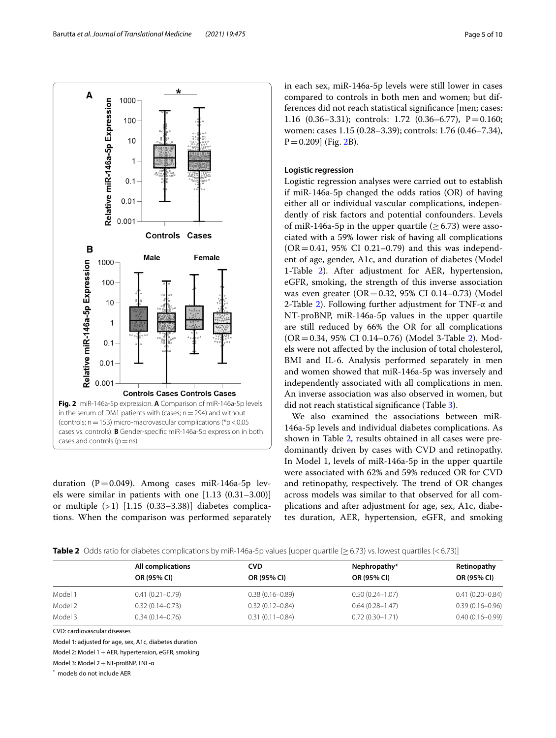

<span id="page-4-0"></span>duration ( $P = 0.049$ ). Among cases miR-146a-5p levels were similar in patients with one [1.13 (0.31–3.00)] or multiple (>1) [1.15 (0.33–3.38)] diabetes complications. When the comparison was performed separately in each sex, miR-146a-5p levels were still lower in cases compared to controls in both men and women; but differences did not reach statistical signifcance [men; cases: 1.16  $(0.36-3.31)$ ; controls: 1.72  $(0.36-6.77)$ , P = 0.160; women: cases 1.15 (0.28–3.39); controls: 1.76 (0.46–7.34),  $P = 0.209$ ] (Fig. [2](#page-4-0)B).

## **Logistic regression**

Logistic regression analyses were carried out to establish if miR-146a-5p changed the odds ratios (OR) of having either all or individual vascular complications, independently of risk factors and potential confounders. Levels of miR-146a-5p in the upper quartile  $(>6.73)$  were associated with a 59% lower risk of having all complications  $(OR = 0.41, 95\% \text{ CI } 0.21 - 0.79)$  and this was independent of age, gender, A1c, and duration of diabetes (Model 1-Table [2](#page-4-1)). After adjustment for AER, hypertension, eGFR, smoking, the strength of this inverse association was even greater (OR=0.32, 95% CI 0.14–0.73) (Model [2](#page-4-1)-Table 2). Following further adjustment for TNF- $\alpha$  and NT-proBNP, miR-146a-5p values in the upper quartile are still reduced by 66% the OR for all complications (OR=0.34, 95% CI 0.14–0.76) (Model 3-Table [2](#page-4-1)). Models were not afected by the inclusion of total cholesterol, BMI and IL-6. Analysis performed separately in men and women showed that miR-146a-5p was inversely and independently associated with all complications in men. An inverse association was also observed in women, but did not reach statistical signifcance (Table [3](#page-5-0)).

We also examined the associations between miR-146a-5p levels and individual diabetes complications. As shown in Table [2](#page-4-1), results obtained in all cases were predominantly driven by cases with CVD and retinopathy. In Model 1, levels of miR-146a-5p in the upper quartile were associated with 62% and 59% reduced OR for CVD and retinopathy, respectively. The trend of OR changes across models was similar to that observed for all complications and after adjustment for age, sex, A1c, diabetes duration, AER, hypertension, eGFR, and smoking

<span id="page-4-1"></span>**Table 2** Odds ratio for diabetes complications by miR-146a-5p values [upper quartile (>6.73) vs. lowest quartiles (<6.73)]

|         | All complications   | CVD                 | Nephropathy*        | Retinopathy<br>OR (95% CI) |
|---------|---------------------|---------------------|---------------------|----------------------------|
|         | OR (95% CI)         | OR (95% CI)         | OR (95% CI)         |                            |
| Model 1 | $0.41(0.21 - 0.79)$ | $0.38(0.16 - 0.89)$ | $0.50(0.24 - 1.07)$ | $0.41(0.20 - 0.84)$        |
| Model 2 | $0.32(0.14 - 0.73)$ | $0.32(0.12 - 0.84)$ | $0.64(0.28 - 1.47)$ | $0.39(0.16 - 0.96)$        |
| Model 3 | $0.34(0.14 - 0.76)$ | $0.31(0.11 - 0.84)$ | $0.72(0.30 - 1.71)$ | $0.40(0.16 - 0.99)$        |

CVD: cardiovascular diseases

Model 1: adjusted for age, sex, A1c, diabetes duration

Model 2: Model 1+AER, hypertension, eGFR, smoking

Model 3: Model 2+NT-proBNP, TNF-α

\* models do not include AER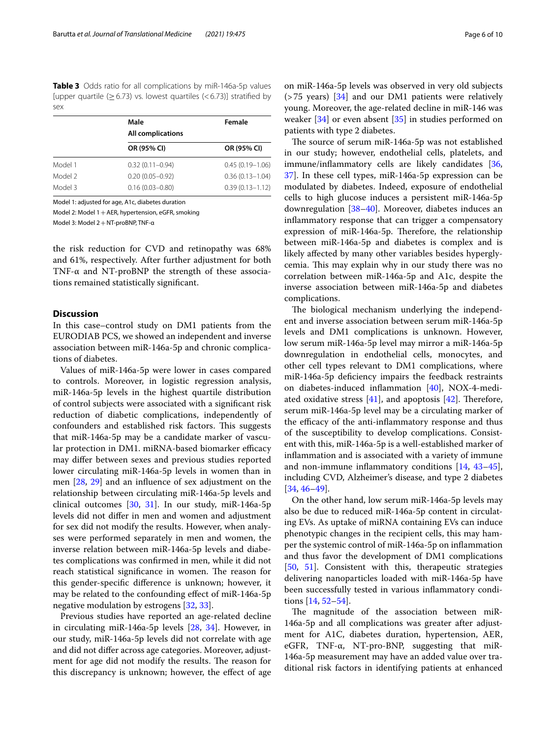<span id="page-5-0"></span>

|         | Male                     | Female              |  |
|---------|--------------------------|---------------------|--|
|         | <b>All complications</b> |                     |  |
|         | OR (95% CI)              | OR (95% CI)         |  |
| Model 1 | $0.32(0.11 - 0.94)$      | $0.45(0.19 - 1.06)$ |  |
| Model 2 | $0.20(0.05 - 0.92)$      | $0.36(0.13 - 1.04)$ |  |
| Model 3 | $0.16(0.03 - 0.80)$      | $0.39(0.13 - 1.12)$ |  |

Model 1: adjusted for age, A1c, diabetes duration

Model 2: Model  $1 + AER$ , hypertension, eGFR, smoking

Model 3: Model 2+NT-proBNP, TNF-α

the risk reduction for CVD and retinopathy was 68% and 61%, respectively. After further adjustment for both TNF-α and NT-proBNP the strength of these associations remained statistically signifcant.

## **Discussion**

In this case–control study on DM1 patients from the EURODIAB PCS, we showed an independent and inverse association between miR-146a-5p and chronic complications of diabetes.

Values of miR-146a-5p were lower in cases compared to controls. Moreover, in logistic regression analysis, miR-146a-5p levels in the highest quartile distribution of control subjects were associated with a signifcant risk reduction of diabetic complications, independently of confounders and established risk factors. This suggests that miR-146a-5p may be a candidate marker of vascular protection in DM1. miRNA-based biomarker efficacy may difer between sexes and previous studies reported lower circulating miR-146a-5p levels in women than in men [\[28](#page-8-12), [29\]](#page-8-13) and an infuence of sex adjustment on the relationship between circulating miR-146a-5p levels and clinical outcomes [[30](#page-8-14), [31](#page-8-15)]. In our study, miR-146a-5p levels did not difer in men and women and adjustment for sex did not modify the results. However, when analyses were performed separately in men and women, the inverse relation between miR-146a-5p levels and diabetes complications was confrmed in men, while it did not reach statistical significance in women. The reason for this gender-specifc diference is unknown; however, it may be related to the confounding efect of miR-146a-5p negative modulation by estrogens [\[32](#page-8-16), [33](#page-8-17)].

Previous studies have reported an age-related decline in circulating miR-146a-5p levels [\[28,](#page-8-12) [34](#page-8-18)]. However, in our study, miR-146a-5p levels did not correlate with age and did not difer across age categories. Moreover, adjustment for age did not modify the results. The reason for this discrepancy is unknown; however, the efect of age on miR-146a-5p levels was observed in very old subjects  $($ >75 years)  $[34]$  $[34]$  and our DM1 patients were relatively young. Moreover, the age-related decline in miR-146 was weaker [[34\]](#page-8-18) or even absent [[35\]](#page-8-19) in studies performed on patients with type 2 diabetes.

The source of serum miR-146a-5p was not established in our study; however, endothelial cells, platelets, and immune/inflammatory cells are likely candidates [[36](#page-8-20), [37\]](#page-8-21). In these cell types, miR-146a-5p expression can be modulated by diabetes. Indeed, exposure of endothelial cells to high glucose induces a persistent miR-146a-5p downregulation [\[38](#page-8-22)[–40\]](#page-8-23). Moreover, diabetes induces an infammatory response that can trigger a compensatory expression of miR-146a-5p. Therefore, the relationship between miR-146a-5p and diabetes is complex and is likely afected by many other variables besides hyperglycemia. This may explain why in our study there was no correlation between miR-146a-5p and A1c, despite the inverse association between miR-146a-5p and diabetes complications.

The biological mechanism underlying the independent and inverse association between serum miR-146a-5p levels and DM1 complications is unknown. However, low serum miR-146a-5p level may mirror a miR-146a-5p downregulation in endothelial cells, monocytes, and other cell types relevant to DM1 complications, where miR-146a-5p defciency impairs the feedback restraints on diabetes-induced infammation [\[40\]](#page-8-23), NOX-4-mediated oxidative stress  $[41]$  $[41]$ , and apoptosis  $[42]$  $[42]$ . Therefore, serum miR-146a-5p level may be a circulating marker of the efficacy of the anti-inflammatory response and thus of the susceptibility to develop complications. Consistent with this, miR-146a-5p is a well-established marker of infammation and is associated with a variety of immune and non-immune infammatory conditions [[14](#page-8-2), [43](#page-8-26)[–45](#page-8-27)], including CVD, Alzheimer's disease, and type 2 diabetes [[34,](#page-8-18) [46](#page-8-28)[–49\]](#page-9-0).

On the other hand, low serum miR-146a-5p levels may also be due to reduced miR-146a-5p content in circulating EVs. As uptake of miRNA containing EVs can induce phenotypic changes in the recipient cells, this may hamper the systemic control of miR-146a-5p on infammation and thus favor the development of DM1 complications [[50,](#page-9-1) [51](#page-9-2)]. Consistent with this, therapeutic strategies delivering nanoparticles loaded with miR-146a-5p have been successfully tested in various infammatory conditions [[14](#page-8-2), [52–](#page-9-3)[54](#page-9-4)].

The magnitude of the association between miR-146a-5p and all complications was greater after adjustment for A1C, diabetes duration, hypertension, AER, eGFR, TNF-α, NT-pro-BNP, suggesting that miR-146a-5p measurement may have an added value over traditional risk factors in identifying patients at enhanced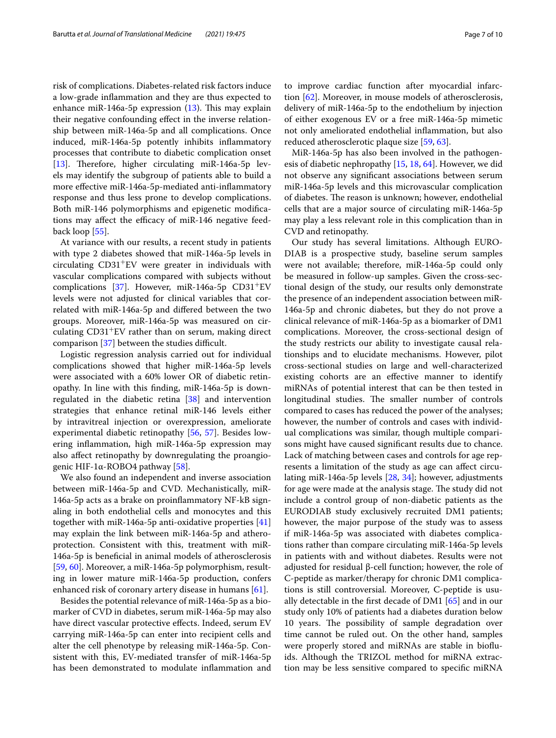risk of complications. Diabetes-related risk factors induce a low-grade infammation and they are thus expected to enhance miR-146a-5p expression  $(13)$  $(13)$ . This may explain their negative confounding efect in the inverse relationship between miR-146a-5p and all complications. Once induced, miR-146a-5p potently inhibits infammatory processes that contribute to diabetic complication onset [[13\]](#page-8-1). Therefore, higher circulating miR-146a-5p levels may identify the subgroup of patients able to build a more efective miR-146a-5p-mediated anti-infammatory response and thus less prone to develop complications. Both miR-146 polymorphisms and epigenetic modifcations may affect the efficacy of miR-146 negative feedback loop [[55\]](#page-9-5).

At variance with our results, a recent study in patients with type 2 diabetes showed that miR-146a-5p levels in circulating CD31+EV were greater in individuals with vascular complications compared with subjects without complications [\[37](#page-8-21)]. However, miR-146a-5p CD31+EV levels were not adjusted for clinical variables that correlated with miR-146a-5p and difered between the two groups. Moreover, miR-146a-5p was measured on circulating CD31+EV rather than on serum, making direct comparison  $[37]$  $[37]$  $[37]$  between the studies difficult.

Logistic regression analysis carried out for individual complications showed that higher miR-146a-5p levels were associated with a 60% lower OR of diabetic retinopathy. In line with this fnding, miR-146a-5p is downregulated in the diabetic retina [\[38](#page-8-22)] and intervention strategies that enhance retinal miR-146 levels either by intravitreal injection or overexpression, ameliorate experimental diabetic retinopathy [[56,](#page-9-6) [57](#page-9-7)]. Besides lowering infammation, high miR-146a-5p expression may also afect retinopathy by downregulating the proangio-genic HIF-1α-ROBO4 pathway [[58](#page-9-8)].

We also found an independent and inverse association between miR-146a-5p and CVD. Mechanistically, miR-146a-5p acts as a brake on proinfammatory NF-kB signaling in both endothelial cells and monocytes and this together with miR-146a-5p anti-oxidative properties [[41](#page-8-24)] may explain the link between miR-146a-5p and atheroprotection. Consistent with this, treatment with miR-146a-5p is benefcial in animal models of atherosclerosis [[59,](#page-9-9) [60](#page-9-10)]. Moreover, a miR-146a-5p polymorphism, resulting in lower mature miR-146a-5p production, confers enhanced risk of coronary artery disease in humans [\[61](#page-9-11)].

Besides the potential relevance of miR-146a-5p as a biomarker of CVD in diabetes, serum miR-146a-5p may also have direct vascular protective efects. Indeed, serum EV carrying miR-146a-5p can enter into recipient cells and alter the cell phenotype by releasing miR-146a-5p. Consistent with this, EV-mediated transfer of miR-146a-5p has been demonstrated to modulate infammation and to improve cardiac function after myocardial infarction [\[62](#page-9-12)]. Moreover, in mouse models of atherosclerosis, delivery of miR-146a-5p to the endothelium by injection of either exogenous EV or a free miR-146a-5p mimetic not only ameliorated endothelial infammation, but also reduced atherosclerotic plaque size [[59,](#page-9-9) [63\]](#page-9-13).

MiR-146a-5p has also been involved in the pathogenesis of diabetic nephropathy [[15](#page-8-3), [18,](#page-8-29) [64](#page-9-14)]. However, we did not observe any signifcant associations between serum miR-146a-5p levels and this microvascular complication of diabetes. The reason is unknown; however, endothelial cells that are a major source of circulating miR-146a-5p may play a less relevant role in this complication than in CVD and retinopathy.

Our study has several limitations. Although EURO-DIAB is a prospective study, baseline serum samples were not available; therefore, miR-146a-5p could only be measured in follow-up samples. Given the cross-sectional design of the study, our results only demonstrate the presence of an independent association between miR-146a-5p and chronic diabetes, but they do not prove a clinical relevance of miR-146a-5p as a biomarker of DM1 complications. Moreover, the cross-sectional design of the study restricts our ability to investigate causal relationships and to elucidate mechanisms. However, pilot cross-sectional studies on large and well-characterized existing cohorts are an efective manner to identify miRNAs of potential interest that can be then tested in longitudinal studies. The smaller number of controls compared to cases has reduced the power of the analyses; however, the number of controls and cases with individual complications was similar, though multiple comparisons might have caused signifcant results due to chance. Lack of matching between cases and controls for age represents a limitation of the study as age can afect circulating miR-146a-5p levels [[28,](#page-8-12) [34\]](#page-8-18); however, adjustments for age were made at the analysis stage. The study did not include a control group of non-diabetic patients as the EURODIAB study exclusively recruited DM1 patients; however, the major purpose of the study was to assess if miR-146a-5p was associated with diabetes complications rather than compare circulating miR-146a-5p levels in patients with and without diabetes. Results were not adjusted for residual β-cell function; however, the role of C-peptide as marker/therapy for chronic DM1 complications is still controversial. Moreover, C-peptide is usually detectable in the frst decade of DM1 [\[65](#page-9-15)] and in our study only 10% of patients had a diabetes duration below 10 years. The possibility of sample degradation over time cannot be ruled out. On the other hand, samples were properly stored and miRNAs are stable in biofuids. Although the TRIZOL method for miRNA extraction may be less sensitive compared to specifc miRNA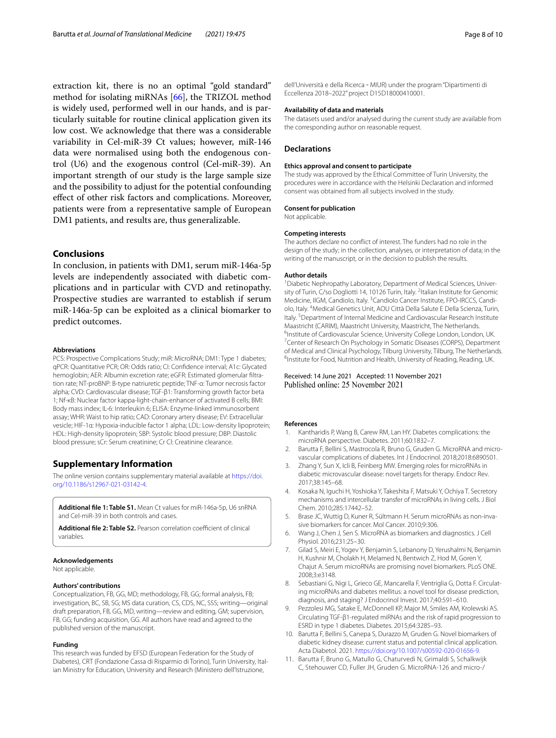extraction kit, there is no an optimal "gold standard" method for isolating miRNAs [[66\]](#page-9-16), the TRIZOL method is widely used, performed well in our hands, and is particularly suitable for routine clinical application given its low cost. We acknowledge that there was a considerable variability in Cel-miR-39 Ct values; however, miR-146 data were normalised using both the endogenous control (U6) and the exogenous control (Cel-miR-39). An important strength of our study is the large sample size and the possibility to adjust for the potential confounding efect of other risk factors and complications. Moreover, patients were from a representative sample of European DM1 patients, and results are, thus generalizable.

## **Conclusions**

In conclusion, in patients with DM1, serum miR-146a-5p levels are independently associated with diabetic complications and in particular with CVD and retinopathy. Prospective studies are warranted to establish if serum miR-146a-5p can be exploited as a clinical biomarker to predict outcomes.

#### **Abbreviations**

PCS: Prospective Complications Study; miR: MicroRNA; DM1: Type 1 diabetes; qPCR: Quantitative PCR; OR: Odds ratio; CI: Confdence interval; A1c: Glycated hemoglobin; AER: Albumin excretion rate; eGFR: Estimated glomerular filtration rate; NT-proBNP: B-type natriuretic peptide; TNF-α: Tumor necrosis factor alpha; CVD: Cardiovascular disease; TGF-β1: Transforming growth factor beta 1; Nf-κB: Nuclear factor kappa-light-chain-enhancer of activated B cells; BMI: Body mass index; IL-6: Interleukin 6; ELISA: Enzyme-linked immunosorbent assay; WHR: Waist to hip ratio; CAD: Coronary artery disease; EV: Extracellular vesicle; HIF-1α: Hypoxia-inducible factor 1 alpha; LDL: Low-density lipoprotein; HDL: High-density lipoprotein; SBP: Systolic blood pressure; DBP: Diastolic blood pressure; sCr: Serum creatinine; Cr Cl: Creatinine clearance.

## **Supplementary Information**

The online version contains supplementary material available at [https://doi.](https://doi.org/10.1186/s12967-021-03142-4) [org/10.1186/s12967-021-03142-4](https://doi.org/10.1186/s12967-021-03142-4).

<span id="page-7-10"></span><span id="page-7-9"></span>**Additional fle 1: Table S1.** Mean Ct values for miR-146a-5p, U6 snRNA and Cel-miR-39 in both controls and cases.

Additional file 2: Table S2. Pearson correlation coefficient of clinical variables.

## **Acknowledgements**

Not applicable.

## **Authors' contributions**

Conceptualization, FB, GG, MD; methodology, FB, GG; formal analysis, FB; investigation, BC, SB, SG; MS data curation, CS, CDS, NC, SSS; writing—original draft preparation, FB, GG, MD, writing—review and editing, GM; supervision, FB, GG; funding acquisition, GG. All authors have read and agreed to the published version of the manuscript.

## **Funding**

This research was funded by EFSD (European Federation for the Study of Diabetes), CRT (Fondazione Cassa di Risparmio di Torino), Turin University, Ital‑ ian Ministry for Education, University and Research (Ministero dell'Istruzione,

dell'Università e della Ricerca ‐ MIUR) under the program "Dipartimenti di Eccellenza 2018–2022" project D15D18000410001.

## **Availability of data and materials**

The datasets used and/or analysed during the current study are available from the corresponding author on reasonable request.

## **Declarations**

#### **Ethics approval and consent to participate**

The study was approved by the Ethical Committee of Turin University, the procedures were in accordance with the Helsinki Declaration and informed consent was obtained from all subjects involved in the study.

#### **Consent for publication**

Not applicable.

## **Competing interests**

The authors declare no confict of interest. The funders had no role in the design of the study; in the collection, analyses, or interpretation of data; in the writing of the manuscript, or in the decision to publish the results.

#### **Author details**

<sup>1</sup> Diabetic Nephropathy Laboratory, Department of Medical Sciences, University of Turin, C/so Dogliotti 14, 10126 Turin, Italy. <sup>2</sup>Italian Institute for Genomic Medicine, IIGM, Candiolo, Italy. <sup>3</sup> Candiolo Cancer Institute, FPO-IRCCS, Candiolo, Italy. 4 Medical Genetics Unit, AOU Città Della Salute E Della Scienza, Turin, Italy.<sup>5</sup> Department of Internal Medicine and Cardiovascular Research Institute Maastricht (CARIM), Maastricht University, Maastricht, The Netherlands. <sup>6</sup>Institute of Cardiovascular Science, University College London, London, UK.<br><sup>7</sup>Center of Besearch On Psychology in Somatic Diseases (CORPS), Denartmer <sup>7</sup> Center of Research On Psychology in Somatic Diseases (CORPS), Department of Medical and Clinical Psychology, Tilburg University, Tilburg, The Netherlands. 8 <sup>8</sup>Institute for Food, Nutrition and Health, University of Reading, Reading, UK.

## Received: 14 June 2021 Accepted: 11 November 2021

#### **References**

- <span id="page-7-0"></span>Kantharidis P, Wang B, Carew RM, Lan HY. Diabetes complications: the microRNA perspective. Diabetes. 2011;60:1832–7.
- <span id="page-7-4"></span>2. Barutta F, Bellini S, Mastrocola R, Bruno G, Gruden G. MicroRNA and microvascular complications of diabetes. Int J Endocrinol. 2018;2018:6890501.
- <span id="page-7-1"></span>3. Zhang Y, Sun X, Icli B, Feinberg MW. Emerging roles for microRNAs in diabetic microvascular disease: novel targets for therapy. Endocr Rev. 2017;38:145–68.
- <span id="page-7-2"></span>4. Kosaka N, Iguchi H, Yoshioka Y, Takeshita F, Matsuki Y, Ochiya T. Secretory mechanisms and intercellular transfer of microRNAs in living cells. J Biol Chem. 2010;285:17442–52.
- 5. Brase JC, Wuttig D, Kuner R, Sültmann H. Serum microRNAs as non-invasive biomarkers for cancer. Mol Cancer. 2010;9:306.
- 6. Wang J, Chen J, Sen S. MicroRNA as biomarkers and diagnostics. J Cell Physiol. 2016;231:25–30.
- <span id="page-7-3"></span>7. Gilad S, Meiri E, Yogev Y, Benjamin S, Lebanony D, Yerushalmi N, Benjamin H, Kushnir M, Cholakh H, Melamed N, Bentwich Z, Hod M, Goren Y, Chajut A. Serum microRNAs are promising novel biomarkers. PLoS ONE. 2008;3:e3148.
- <span id="page-7-5"></span>8. Sebastiani G, Nigi L, Grieco GE, Mancarella F, Ventriglia G, Dotta F. Circulating microRNAs and diabetes mellitus: a novel tool for disease prediction, diagnosis, and staging? J Endocrinol Invest. 2017;40:591–610.
- <span id="page-7-7"></span>9. Pezzolesi MG, Satake E, McDonnell KP, Major M, Smiles AM, Krolewski AS. Circulating TGF-β1-regulated miRNAs and the risk of rapid progression to ESRD in type 1 diabetes. Diabetes. 2015;64:3285–93.
- <span id="page-7-6"></span>10. Barutta F, Bellini S, Canepa S, Durazzo M, Gruden G. Novel biomarkers of diabetic kidney disease: current status and potential clinical application. Acta Diabetol. 2021. <https://doi.org/10.1007/s00592-020-01656-9>.
- <span id="page-7-8"></span>11. Barutta F, Bruno G, Matullo G, Chaturvedi N, Grimaldi S, Schalkwijk C, Stehouwer CD, Fuller JH, Gruden G. MicroRNA-126 and micro-/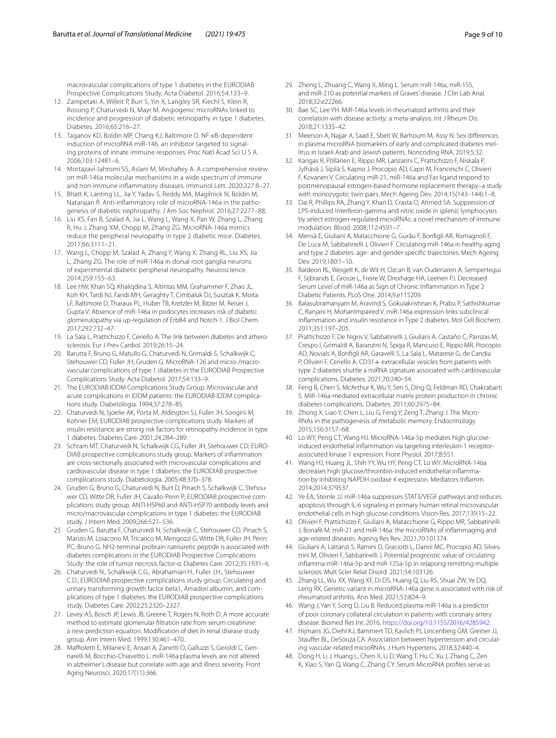macrovascular complications of type 1 diabetes in the EURODIAB Prospective Complications Study. Acta Diabetol. 2016;54:133–9.

- <span id="page-8-0"></span>12. Zampetaki A, Willeit P, Burr S, Yin X, Langley SR, Kiechl S, Klein R, Rossing P, Chaturvedi N, Mayr M. Angiogenic microRNAs linked to incidence and progression of diabetic retinopathy in type 1 diabetes. Diabetes. 2016;65:216–27.
- <span id="page-8-1"></span>13. Taganov KD, Boldin MP, Chang KJ, Baltimore D. NF-κB-dependent induction of microRNA miR-146, an inhibitor targeted to signaling proteins of innate immune responses. Proc Natl Acad Sci U S A. 2006;103:12481–6.
- <span id="page-8-2"></span>14. Mortazavi-Jahromi SS, Aslani M, Mirshafey A. A comprehensive review on miR-146a molecular mechanisms in a wide spectrum of immune and non-immune infammatory diseases. Immunol Lett. 2020;227:8–27.
- <span id="page-8-3"></span>15. Bhatt K, Lanting LL, Jia Y, Yadav S, Reddy MA, Magilnick N, Boldin M, Natarajan R. Anti-inflammatory role of microRNA-146a in the pathogenesis of diabetic nephropathy. J Am Soc Nephrol. 2016;27:2277–88.
- 16. Liu XS, Fan B, Szalad A, Jia L, Wang L, Wang X, Pan W, Zhang L, Zhang R, Hu J, Zhang XM, Chopp M, Zhang ZG. MicroRNA-146a mimics reduce the peripheral neuropathy in type 2 diabetic mice. Diabetes. 2017;66:3111–21.
- 17. Wang L, Chopp M, Szalad A, Zhang Y, Wang X, Zhang RL, Liu XS, Jia L, Zhang ZG. The role of miR-146a in dorsal root ganglia neurons of experimental diabetic peripheral neuropathy. Neuroscience. 2014;259:155–63.
- <span id="page-8-29"></span>18. Lee HW, Khan SQ, Khaliqdina S, Altintas MM, Grahammer F, Zhao JL, Koh KH, Tardi NJ, Faridi MH, Geraghty T, Cimbaluk DJ, Susztak K, Moita LF, Baltimore D, Tharaux PL, Huber TB, Kretzler M, Bitzer M, Reiser J, Gupta V. Absence of miR-146a in podocytes increases risk of diabetic glomerulopathy via up-regulation of ErbB4 and Notch-1. J Biol Chem. 2017;292:732–47.
- <span id="page-8-4"></span>19. La Sala L, Prattichizzo F, Ceriello A. The link between diabetes and atherosclerosis. Eur J Prev Cardiol. 2019;26:15–24.
- <span id="page-8-5"></span>20. Barutta F, Bruno G, Matullo G, Chaturvedi N, Grimaldi S, Schalkwijk C, Stehouwer CD, Fuller JH, Gruden G. MicroRNA-126 and micro-/macrovascular complications of type 1 diabetes in the EURODIAB Prospective Complications Study. Acta Diabetol. 2017;54:133–9.
- <span id="page-8-6"></span>21. The EURODIAB IDDM Complications Study Group. Microvascular and acute complications in IDDM patients: the EURODIAB IDDM complications study. Diabetologia. 1994;37:278–85.
- <span id="page-8-7"></span>22. Chaturvedi N, Sjoelie AK, Porta M, Aldington SJ, Fuller JH, Songini M, Kohner EM; EURODIAB prospective complications study. Markers of insulin resistance are strong risk factors for retinopathy incidence in type 1 diabetes. Diabetes Care. 2001;24:284–289.
- <span id="page-8-8"></span>23. Schram MT, Chaturvedi N, Schalkwijk CG, Fuller JH, Stehouwer CD; EURO-DIAB prospective complications study group. Markers of infammation are cross-sectionally associated with microvascular complications and cardiovascular disease in type 1 diabetes: the EURODIAB prospective complications study. Diabetologia. 2005;48:370–378.
- 24. Gruden G, Bruno G, Chaturvedi N, Burt D, Pinach S, Schalkwijk C, Stehouwer CD, Witte DR, Fuller JH, Cavallo-Perin P; EURODIAB prospective complications study group. ANTI-HSP60 and ANTI-HSP70 antibody levels and micro/macrovascular complications in type 1 diabetes: the EURODIAB study. J Intern Med. 2009;266:527–536.
- <span id="page-8-11"></span>25. Gruden G, Barutta F, Chaturvedi N, Schalkwijk C, Stehouwer CD, Pinach S, Manzo M, Loiacono M, Tricarico M, Mengozzi G, Witte DR, Fuller JH, Perin PC, Bruno G. NH2-terminal probrain natriuretic peptide is associated with diabetes complications in the EURODIAB Prospective Complications Study: the role of tumor necrosis factor-α. Diabetes Care. 2012;35:1931–6.
- <span id="page-8-9"></span>26. Chaturvedi N., Schalkwijk C.G., Abrahamian H., Fuller J.H., Stehouwer C.D.; EURODIAB prospective complications study group. Circulating and urinary transforming growth factor beta1, Amadori albumin, and complications of type 1 diabetes: the EURODIAB prospective complications study. Diabetes Care. 2002;25:2320–2327.
- <span id="page-8-10"></span>27. Levey AS, Bosch JP, Lewis JB, Greene T, Rogers N, Roth D. A more accurate method to estimate glomerular fltration rate from serum creatinine: a new prediction equation. Modifcation of diet in renal disease study group. Ann Intern Med. 1999;130:461–470.
- <span id="page-8-12"></span>28. Maffioletti E, Milanesi E, Ansari A, Zanetti O, Galluzzi S, Geroldi C, Gennarelli M, Bocchio-Chiavetto L. miR-146a plasma levels are not altered in alzheimer's disease but correlate with age and illness severity. Front Aging Neurosci. 2020;17(11):366.
- <span id="page-8-13"></span>29. Zheng L, Zhuang C, Wang X, Ming L. Serum miR-146a, miR-155, and miR-210 as potential markers of Graves' disease. J Clin Lab Anal. 2018;32:e22266.
- <span id="page-8-14"></span>30. Bae SC, Lee YH. MiR-146a levels in rheumatoid arthritis and their correlation with disease activity: a meta-analysis. Int J Rheum Dis. 2018;21:1335–42.
- <span id="page-8-15"></span>31. Meerson A, Najjar A, Saad E, Sbeit W, Barhoum M, Assy N. Sex diferences in plasma microRNA biomarkers of early and complicated diabetes mellitus in Israeli Arab and Jewish patients. Noncoding RNA. 2019;5:32.
- <span id="page-8-16"></span>32. Kangas R, Pöllänen E, Rippo MR, Lanzarini C, Prattichizzo F, Niskala P, Jylhävä J, Sipilä S, Kaprio J, Procopio AD, Capri M, Franceschi C, Olivieri F, Kovanen V. Circulating miR-21, miR-146a and Fas ligand respond to postmenopausal estrogen-based hormone replacement therapy–a study with monozygotic twin pairs. Mech Ageing Dev. 2014;15(143–144):1–8.
- <span id="page-8-17"></span>33. Dai R, Phillips RA, Zhang Y, Khan D, Crasta O, Ahmed SA. Suppression of LPS-induced Interferon-gamma and nitric oxide in splenic lymphocytes by select estrogen-regulated microRNAs: a novel mechanism of immune modulation. Blood. 2008;112:4591–7.
- <span id="page-8-18"></span>34. Mensà E, Giuliani A, Matacchione G, Gurău F, Bonfgli AR, Romagnoli F, De Luca M, Sabbatinelli J, Olivieri F. Circulating miR-146a in healthy aging and type 2 diabetes: age- and gender-specifc trajectories. Mech Ageing Dev. 2019;180:1–10.
- <span id="page-8-19"></span>35. Baldeon RL, Weigelt K, de Wit H, Ozcan B, van Oudenaren A, Sempertegui F, Sijbrands E, Grosse L, Freire W, Drexhage HA, Leenen PJ. Decreased Serum Level of miR-146a as Sign of Chronic Infammation in Type 2 Diabetic Patients. PLoS One. 2014;9,e115209.
- <span id="page-8-20"></span>36. Balasubramanyam M, Aravind S, Gokulakrishnan K, Prabu P, Sathishkumar C, Ranjani H, MohanImpaired V. miR-146a expression links subclinical infammation and insulin resistance in Type 2 diabetes. Mol Cell Biochem. 2011;351:197–205.
- <span id="page-8-21"></span>37. Prattichizzo F, De Nigris V, Sabbatinelli J, Giuliani A, Castaño C, Párrizas M, Crespo I, Grimaldi A, Baranzini N, Spiga R, Mancuso E, Rippo MR, Procopio AD, Novials A, Bonfgli AR, Garavelli S, La Sala L, Matarese G, de Candia P, Olivieri F, Ceriello A, CD31+ extracellular vesicles from patients with type 2 diabetes shuttle a miRNA signature associated with cardiovascular complications. Diabetes. 2021;70:240–54.
- <span id="page-8-22"></span>38. Feng B, Chen S, McArthur K, Wu Y, Sen S, Ding Q, Feldman RD, Chakrabarti S. MiR-146a-mediated extracellular matrix protein production in chronic diabetes complications. Diabetes. 2011;60:2975–84.
- 39. Zhong X, Liao Y, Chen L, Liu G, Feng Y, Zeng T, Zhang J. The Micro-RNAs in the pathogenesis of metabolic memory. Endocrinology. 2015;156:3157–68.
- <span id="page-8-23"></span>40. Lo WY, Peng CT, Wang HJ. MicroRNA-146a-5p mediates high glucoseinduced endothelial infammation via targeting interleukin-1 receptorassociated kinase 1 expression. Front Physiol. 2017;8:551.
- <span id="page-8-24"></span>41. Wang HJ, Huang JL, Shih YY, Wu HY, Peng CT, Lo WY. MicroRNA-146a decreases high glucose/thrombin-induced endothelial inflammation by inhibiting NAPDH oxidase 4 expression. Mediators Infamm. 2014;2014:379537.
- <span id="page-8-25"></span>42. Ye EA, Steinle JJ. miR-146a suppresses STAT3/VEGF pathways and reduces apoptosis through IL-6 signaling in primary human retinal microvascular endothelial cells in high glucose conditions. Vision Res. 2017;139:15–22.
- <span id="page-8-26"></span>43. Olivieri F, Prattichizzo F, Giuliani A, Matacchione G, Rippo MR, Sabbatinelli J, Bonafè M. miR-21 and miR-146a: the microRNAs of infammaging and age-related diseases. Ageing Res Rev. 2021;70:101374.
- 44. Giuliani A, Lattanzi S, Ramini D, Graciotti L, Danni MC, Procopio AD, Silvestrini M, Olivieri F, Sabbatinelli J. Potential prognostic value of circulating infamma-miR-146a-5p and miR-125a-5p in relapsing-remitting multiple sclerosis. Mult Scler Relat Disord. 2021;54:103126.
- <span id="page-8-27"></span>45. Zhang LL, Wu XX, Wang XF, Di DS, Huang Q, Liu RS, Shuai ZW, Ye DQ, Leng RX. Genetic variant in microRNA-146a gene is associated with risk of rheumatoid arthritis. Ann Med. 2021;53:824–9.
- <span id="page-8-28"></span>46. Wang J, Yan Y, Song D, Liu B. Reduced plasma miR-146a is a predictor of poor coronary collateral circulation in patients with coronary artery disease. Biomed Res Int. 2016. [https://doi.org/10.1155/2016/4285942.](https://doi.org/10.1155/2016/4285942)
- 47. Hijmans JG, Diehl KJ, Bammert TD, Kavlich PJ, Lincenberg GM, Greiner JJ, Stauffer BL, DeSouza CA. Association between hypertension and circulating vascular-related microRNAs. J Hum Hypertens. 2018;32:440–4.
- 48. Dong H, Li J, Huang L, Chen X, Li D, Wang T, Hu C, Xu J, Zhang C, Zen K, Xiao S, Yan Q, Wang C, Zhang CY. Serum MicroRNA profles serve as